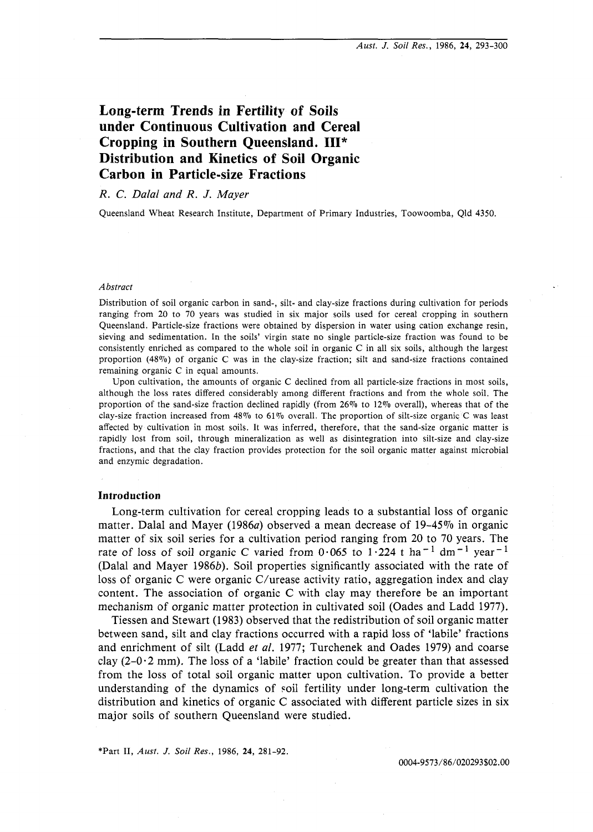# **Long-term Trends in Fertility of Soils under Continuous Cultivation and Cereal Cropping in Southern Queensland. 111\* Distribution and Kinetics of Soil Organic Carbon in Particle-size Fractions**

# **R. C.** Dalal and R. J. Mayer

Queensland Wheat Research Institute, Department of Primary Industries, Toowoomba, Qld 4350.

#### *Abstract*

Distribution of soil organic carbon in sand-, silt- and clay-size fractions during cultivation for periods ranging from 20 to 70 years was studied in six major soils used for cereal cropping in southern Queensland. Particle-size fractions were obtained by dispersion in water using cation exchange resin, sieving and sedimentation. In the soils' virgin state no single particle-size fraction was found to be consistently enriched as compared to the whole soil in organic C in all six soils, although the largest proportion (48%) of organic *C* was in the clay-size fraction; silt and sand-size fractions contained remaining organic C in equal amounts.

Upon cultivation, the amounts of organic *C* declined from all particle-size fractions in most soils, although the loss rates differed considerably among different fractions and from the whole soil. The proportion of the sand-size fraction declined rapidly (from 26% to 12% overall), whereas that of the clay-size fraction increased from 48% to 61% overall. The proportion of silt-size organic C was least affected by cultivation in most soils. It was inferred, therefore, that the sand-size organic matter is rapidly lost from soil, through mineralization as well as disintegration into silt-size and clay-size fractions, and that the clay fraction provides protection for the soil organic matter against microbial and enzymic degradation.

#### **Introduction**

Long-term cultivation for cereal cropping leads to a substantial loss of organic matter. Dalal and Mayer (1986a) observed a mean decrease of 19-45% in organic matter of six soil series for a cultivation period ranging from 20 to 70 years. The rate of loss of soil organic C varied from  $0.065$  to  $1.224$  t ha<sup>-1</sup> dm<sup>-1</sup> year<sup>-1</sup> (Dalal and Mayer 1986b). Soil properties significantly associated with the rate of loss of organic C were organic C/urease activity ratio, aggregation index and clay content. The association of organic C with clay may therefore be an important mechanism of organic matter protection in cultivated soil (Oades and Ladd 1977).

Tiessen and Stewart (1983) observed that the redistribution of soil organic matter between sand, silt and clay fractions occurred with a rapid loss of 'labile' fractions and enrichment of silt (Ladd et al. 1977; Turchenek and Oades 1979) and coarse clay  $(2-0.2 \text{ mm})$ . The loss of a 'labile' fraction could be greater than that assessed from the loss of total soil organic matter upon cultivation. To provide a better understanding of the dynamics of \$oil fertility under long-term cultivation the distribution and kinetics of organic C associated with different particle sizes in six major soils of southern Queensland were studied.

\*Part 11, *Aust. J.* **Soil** *Res.,* 1986, *24,* 281-92.

0004-9573/86/020293\$02.00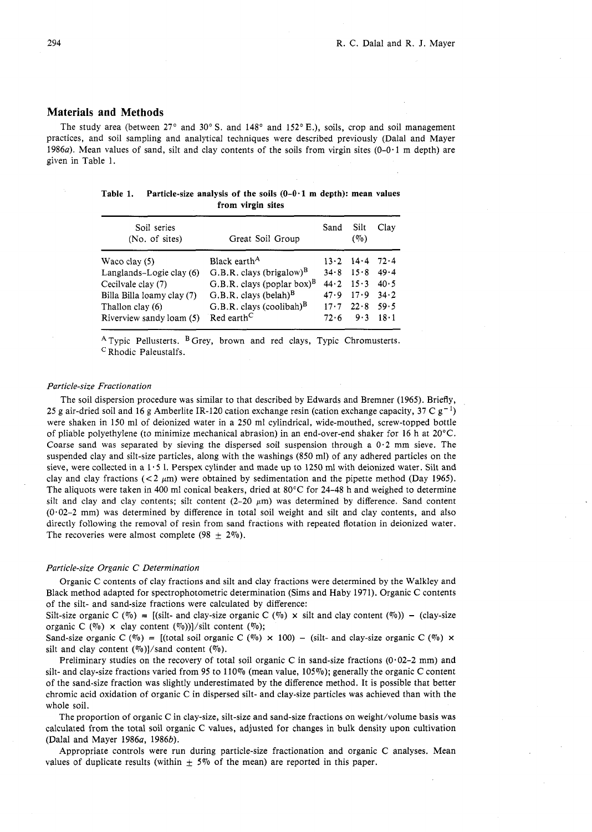#### **Materials and Methods**

The study area (between  $27^{\circ}$  and  $30^{\circ}$  S. and  $148^{\circ}$  and  $152^{\circ}$  E.), soils, crop and soil management practices, and soil sampling and analytical techniques were described previously (Dalal and Mayer practices, and soil sampling and analytical techniques were described previously (Dalal and Mayer<br>1986a). Mean values of sand, silt and clay contents of the soils from virgin sites (0-0.1 m depth) are<br>given in Table 1.<br>**Fa** given in Table 1.

Table 1. Particle-size analysis of the soils  $(0-0.1 \text{ m depth})$ : mean values from virgin sites

| Soil series<br>(No. of sites) | Great Soil Group                       | Sand | Silt<br>$(\%)$                | Clay |
|-------------------------------|----------------------------------------|------|-------------------------------|------|
| Waco clay (5)                 | Black earth <sup>A</sup>               |      | $13.2$ $14.4$                 | 72.4 |
| Langlands-Logie clay (6)      | G.B.R. clays (brigalow) <sup>B</sup>   | 34.8 | 15.8                          | 49.4 |
| Cecilvale clay (7)            | G.B.R. clays (poplar box) <sup>B</sup> |      | $44 \cdot 2 \quad 15 \cdot 3$ | 40.5 |
| Billa Billa loamy clay (7)    | $G.B.R.$ clays (belah) $B$             | 47.9 | 17.9                          | 34.2 |
| Thallon clay (6)              | $G.B.R.$ clays (coolibah) <sup>B</sup> |      | $17.7$ $22.8$                 | 59.5 |
| Riverview sandy loam (5)      | Red earth <sup>C</sup>                 | 72.6 | 9.3                           | 18.1 |

 $^{A}$  Typic Pellusterts.  $^{B}$  Grey, brown and red clays, Typic Chromusterts. Rhodic Paleustalfs.

#### Particle-size Fractionation

The soil dispersion procedure was similar to that described by Edwards and Bremner (1965). Briefly, 25 g air-dried soil and 16 g Amberlite IR-120 cation exchange resin (cation exchange capacity, 37 C  $g^{-1}$ ) were shaken in 150 ml of deionized water in a 250 ml cylindrical, wide-mouthed, screw-topped bottle of pliable polyethylene (to minimize mechanical abrasion) in an end-over-end shaker for 16 h at 20°C. Coarse sand was separated by sieving the dispersed soil suspension through a  $0.2$  mm sieve. The suspended clay and silt-size particles, along with the washings (850 ml) of any adhered particles on the sieve, were collected in a  $1.5$  l. Perspex cylinder and made up to 1250 ml with deionized water. Silt and clay and clay fractions ( $\lt 2 \mu m$ ) were obtained by sedimentation and the pipette method (Day 1965). The aliquots were taken in 400 ml conical beakers, dried at 80°C for 24-48 h and weighed to determine silt and clay and clay contents; silt content  $(2-20 \mu m)$  was determined by difference. Sand content (0.02-2 mm) was determined by difference in total soil weight and silt and clay contents, and also directly following the removal of resin from sand fractions with repeated flotation in deionized water. The recoveries were almost complete (98  $\pm$  2%).

#### Particle-size Organic C Determination

Organic C contents of clay fractions and silt and clay fractions were determined by the Walkley and Black method adapted for spectrophotometric determination (Sims and Haby 1971). Organic C contents of the silt- and sand-size fractions were calculated by difference:

Silt-size organic C (%) = [(silt- and clay-size organic C (%)  $\times$  silt and clay content (%)) – (clay-size organic C ( $\%$ )  $\times$  clay content ( $\%$ ))]/silt content ( $\%$ );

Sand-size organic C ( $\%$ ) = [(total soil organic C ( $\%$ ) × 100) - (silt- and clay-size organic C ( $\%$ ) × silt and clay content  $(\%$ )]/sand content  $(\%)$ .

Preliminary studies on the recovery of total soil organic C in sand-size fractions  $(0.02-2 \text{ mm})$  and silt- and clay-size fractions varied from 95 to 110% (mean value, 105%); generally the organic C content of the sand-size fraction was slightly underestimated by the difference method. It is possible that better chromic acid oxidation of organic C in dispersed silt- and clay-size particles was achieved than with the whole soil.

The proportion of organic C in clay-size, silt-size and sand-size fractions on weight/volume basis was calculated from the total soil organic C values, adjusted for changes in bulk density upon cultivation (Dalal and Mayer 1986a, 1986b).

Appropriate controls were run during particle-size fractionation and organic C analyses. Mean values of duplicate results (within  $\pm$  5% of the mean) are reported in this paper.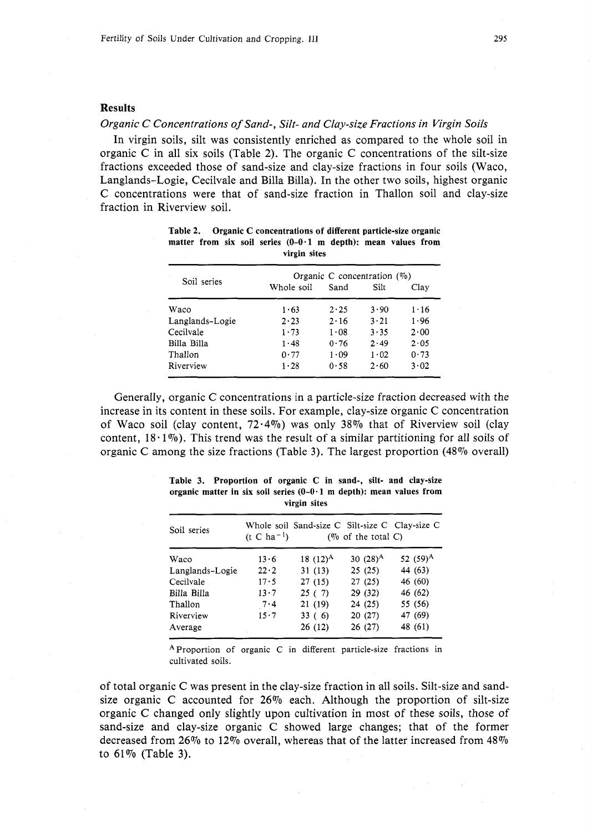## Results

## *Organic C Concentrations of Sand-, Silt- and Clay-size Fractions in Virgin Soils*

In virgin soils, silt was consistently enriched as compared to the whole soil in organic C in all six soils (Table 2). The organic C concentrations of the silt-size fractions exceeded those of sand-size and clay-size fractions in four soils (Waco, Langlands-Logie, Cecilvale and Billa Billa). In the other two soils, highest organic C concentrations were that of sand-size fraction in Thallon soil and clay-size fraction in Riverview soil.

|              | Organic C concentration $(\%)$ |              |              |
|--------------|--------------------------------|--------------|--------------|
|              |                                |              |              |
|              | Sand                           | Silt         | Clav         |
| 1.63         | 2.25                           | 3.90         | 1.16         |
| $2 \cdot 23$ | 2.16                           | $3 \cdot 21$ | 1.96         |
| 1.73         | 1.08                           | 3.35         | $2 \cdot 00$ |
| 1.48         | 0.76                           | 2.49         | 2.05         |
| 0.77         | 1.09                           | 1.02         | 0.73         |
| 1.28         | 0.58                           | 2.60         | 3.02         |
|              | Whole soil                     |              |              |

|  |  |              | Table 2. Organic C concentrations of different particle-size organic     |  |  |
|--|--|--------------|--------------------------------------------------------------------------|--|--|
|  |  |              | matter from six soil series $(0-0.1 \text{ m depth})$ : mean values from |  |  |
|  |  | virgin sites |                                                                          |  |  |

Generally, organic C concentrations in a particle-size fraction decreased with the increase in its content in these soils. For example, clay-size organic C concentration of Waco soil (clay content,  $72.4\%$ ) was only 38% that of Riverview soil (clay content,  $18.1\%$ ). This trend was the result of a similar partitioning for all soils of organic C among the size fractions (Table 3). The largest proportion (48% overall)

| Soil series     | Whole soil Sand-size C Silt-size C Clay-size C<br>$(t C ha^{-1})$<br>( $\%$ of the total C) |             |             |             |  |  |  |
|-----------------|---------------------------------------------------------------------------------------------|-------------|-------------|-------------|--|--|--|
| Waco            | 13.6                                                                                        | 18 $(12)^A$ | 30 $(28)^A$ | 52 $(59)^A$ |  |  |  |
| Langlands-Logie | $22 \cdot 2$                                                                                | 31(13)      | 25(25)      | 44 (63)     |  |  |  |
| Cecilvale       | 17.5                                                                                        | 27(15)      | 27(25)      | 46 (60)     |  |  |  |
| Billa Billa     | 13.7                                                                                        | 25(7)       | 29(32)      | 46 (62)     |  |  |  |
| Thallon         | 7.4                                                                                         | 21 (19)     | 24(25)      | 55 (56)     |  |  |  |
| Riverview       | 15.7                                                                                        | 33(6)       | 20(27)      | 47 (69)     |  |  |  |
| Average         |                                                                                             | 26 (12)     | 26(27)      | 48 (61)     |  |  |  |

**Table 3. Proportion of organic C in sand-, silt- and clay-size organic matter in six soil series** (0-0.1 **m depth): mean values from virgin sites** 

AProportion of organic C in different particle-size fractions in cultivated soils.

of total organic C was present in the clay-size fraction in all soils. Silt-size and sandsize organic C accounted for  $26\%$  each. Although the proportion of silt-size organic C changed only slightly upon cultivation in most of these soils, those of sand-size and clay-size organic C showed large changes; that of the former decreased from 26% to 12% overall, whereas that of the latter increased from  $48\%$ to  $61\%$  (Table 3).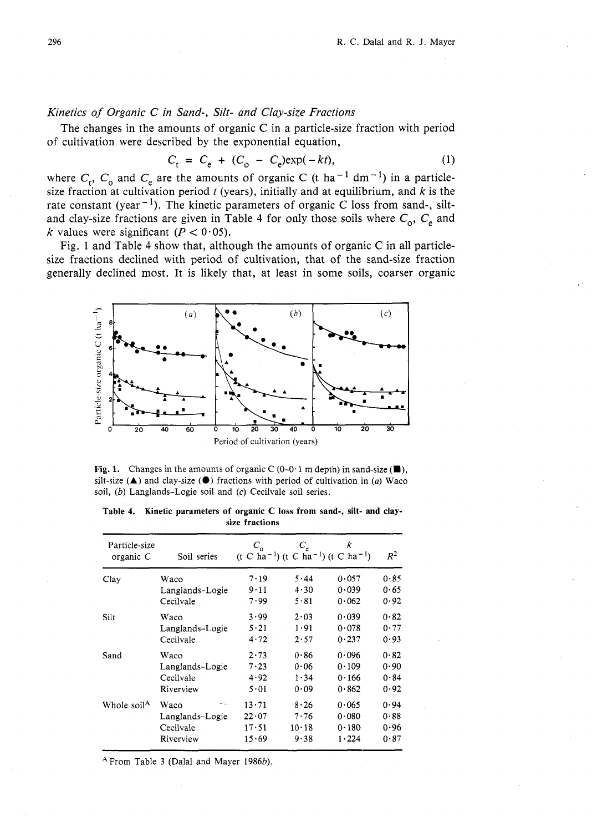# Kinetics of Organic C in Sand-, Silt- and Clay-size Fractions

The changes in the amounts of organic C in a particle-size fraction with period of cultivation were described by the exponential equation,

$$
C_{t} = C_{e} + (C_{o} - C_{e}) \exp(-kt),
$$
 (1)

where  $C_t$ ,  $C_0$  and  $C_e$  are the amounts of organic C (t ha<sup>-1</sup> dm<sup>-1</sup>) in a particlesize fraction at cultivation period  $t$  (years), initially and at equilibrium, and  $k$  is the rate constant (year<sup>-1</sup>). The kinetic parameters of organic C loss from sand-, siltand clay-size fractions are given in Table 4 for only those soils where  $C_0$ ,  $C_e$  and k values were significant ( $P < 0.05$ ).

Fig. 1 and Table 4 show that, although the amounts of organic C in all particlesize fractions declined with period of cultivation, that of the sand-size fraction generally declined most. It is likely that, at least in some soils, coarser organic



**Fig. 1.** Changes in the amounts of organic C  $(0-0.1 \text{ m depth})$  in sand-size  $(\blacksquare)$ , silt-size (A) and clay-size **(0)** fractions with period of cultivation in *(a)* Waco soil, (b) Langlands-Logie soil and *(c)* Cecilvale soil series.

| Table 4. Kinetic parameters of organic C loss from sand-, silt- and clay- |                |  |  |  |  |
|---------------------------------------------------------------------------|----------------|--|--|--|--|
|                                                                           | size fractions |  |  |  |  |

| Particle-size<br>organic C | Soil series                                               | $C_{\rm o}$                              | $C_{\rm e}$                       | k<br>$(t C ha^{-1}) (t C ha^{-1}) (t C ha^{-1})$ | $R^2$                        |
|----------------------------|-----------------------------------------------------------|------------------------------------------|-----------------------------------|--------------------------------------------------|------------------------------|
| Clay                       | Waco                                                      | 7.19                                     | 5.44                              | 0.057                                            | 0.85                         |
|                            | Langlands-Logie                                           | 9.11                                     | 4.30                              | 0.039                                            | 0.65                         |
|                            | Cecilvale                                                 | 7.99                                     | 5.81                              | 0.062                                            | 0.92                         |
| Silt                       | Waco                                                      | 3.99                                     | 2.03                              | 0.039                                            | 0.82                         |
|                            | Langlands-Logie                                           | 5.21                                     | 1.91                              | 0.078                                            | 0.77                         |
|                            | Cecilvale                                                 | 4.72                                     | 2.57                              | 0.237                                            | 0.93                         |
| Sand                       | Waco                                                      | 2.73                                     | 0.86                              | 0.096                                            | 0.82                         |
|                            | Langlands-Logie                                           | 7.23                                     | 0.06                              | 0.109                                            | 0.90                         |
|                            | Cecilvale                                                 | 4.92                                     | 1.34                              | 0.166                                            | 0.84                         |
|                            | Riverview                                                 | 5.01                                     | 0.09                              | 0.862                                            | 0.92                         |
| Whole soil <sup>A</sup>    | Waco<br>a na<br>Langlands-Logie<br>Cecilvale<br>Riverview | $13 \cdot 71$<br>22.07<br>17.51<br>15.69 | 8.26<br>7.76<br>$10 - 18$<br>9.38 | 0.065<br>0.080<br>0.180<br>1.224                 | 0.94<br>0.88<br>0.96<br>0.87 |

 $^{\text{A}}$  From Table 3 (Dalal and Mayer 1986b).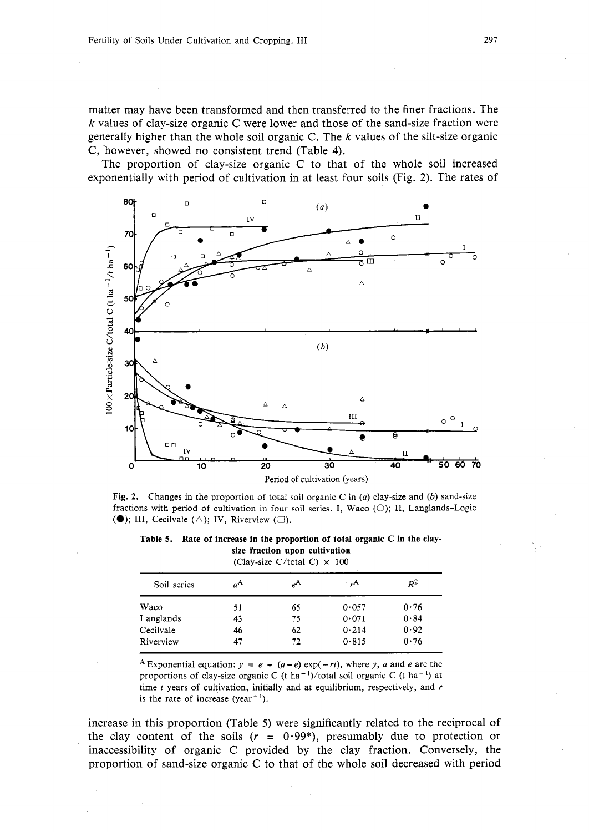matter may have been transformed and then transferred to the finer fractions. The  $k$  values of clay-size organic C were lower and those of the sand-size fraction were generally higher than the whole soil organic C. The  $k$  values of the silt-size organic C, however, showed no consistent trend (Table 4).

The proportion of clay-size organic C to that of the whole soil increased exponentially with period of cultivation in at least four soils (Fig. 2). The rates of



**Fig. 2.** Changes in the proportion of total soil organic C in (a) clay-size and *(b)* sand-size fractions with period of cultivation in four soil series. I, Waco  $(\bigcirc)$ ; II, Langlands-Logie **(0)**; III, Cecilvale  $(\triangle)$ ; IV, Riverview  $(\square)$ .

**Table 5. Rate of increase in the proportion of total organic C in the claysize fraction upon cultivation**  (Clay-size C/total C)  $\times$  100

| Soil series | $a^{\mathbf{A}}$ | $e^{\mathbf{A}}$ | ,А    | $R^2$ |
|-------------|------------------|------------------|-------|-------|
| Waco        | 51               | 65               | 0.057 | 0.76  |
| Langlands   | 43               | 75               | 0.071 | 0.84  |
| Cecilvale   | 46               | 62               | 0.214 | 0.92  |
| Riverview   | 47               | 72               | 0.815 | 0.76  |

**A**Exponential equation:  $y = e + (a-e) \exp(-rt)$ , where y, a and e are the proportions of clay-size organic C (t ha<sup>-1</sup>)/total soil organic C (t ha<sup>-1</sup>) at time *t* years of cultivation, initially and at equilibrium, respectively, and *r*  is the rate of increase (year<sup>-1</sup>).

increase in this proportion (Table 5) were significantly related to the reciprocal of the clay content of the soils  $(r = 0.99^*)$ , presumably due to protection or inaccessibility of organic C provided by the clay fraction. Conversely, the proportion of sand-size organic C to that of the whole soil decreased with period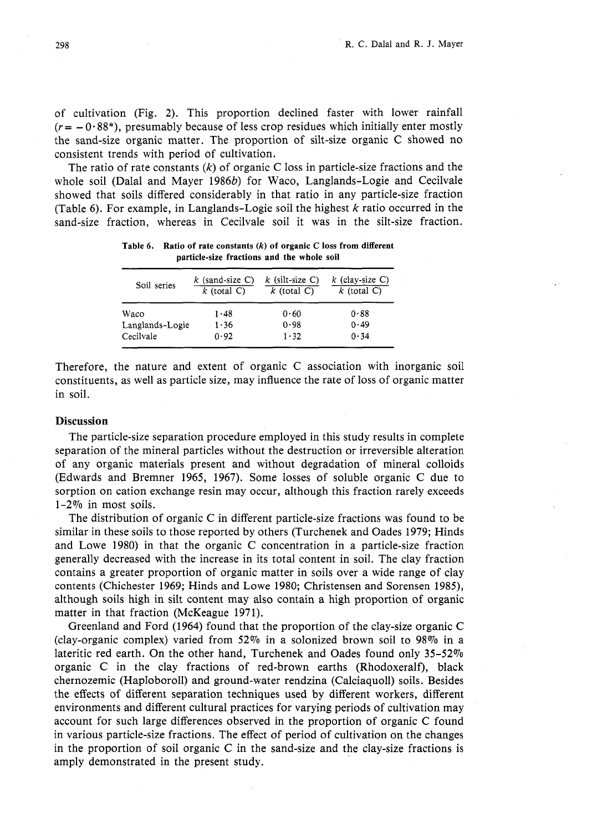of cultivation (Fig. 2). This proportion declined faster with lower rainfall  $(r = -0.88*)$ , presumably because of less crop residues which initially enter mostly the sand-size organic matter. The proportion of silt-size organic *C* showed no consistent trends with period of cultivation.

The ratio of rate constants  $(k)$  of organic C loss in particle-size fractions and the whole soil (Dalal and Mayer 1986b) for Waco, Langlands-Logie and Cecilvale showed that soils differed considerably in that ratio in any particle-size fraction (Table *6).* For example, in Langlands-Logie soil the highest k ratio occurred in the sand-size fraction, whereas in Cecilvale soil it was in the silt-size fraction.

| particle-size fractions and the whole soil |                                    |                                    |                                    |  |  |  |  |
|--------------------------------------------|------------------------------------|------------------------------------|------------------------------------|--|--|--|--|
| Soil series                                | $k$ (sand-size C)<br>$k$ (total C) | $k$ (silt-size C)<br>$k$ (total C) | $k$ (clay-size C)<br>$k$ (total C) |  |  |  |  |
| Waco                                       | 1.48                               | 0.60                               | 0.88                               |  |  |  |  |
| Langlands-Logie                            | 1.36                               | 0.98                               | 0.49                               |  |  |  |  |
| Cecilvale                                  | 0.92                               | 1.32                               | 0.34                               |  |  |  |  |

**Table 6. Ratio of rate constants** *(k)* **of organic C loss from different particle-size fractions and the whole soil** 

Therefore, the nature and extent of organic *C* association with inorganic soil constituents, as well as particle size, may influence the rate of loss of organic matter in soil.

# **Discussion**

The particle-size separation procedure employed in this study results in complete separation of the mineral particles without the destruction or irreversible alteration of any organic materials present and without degradation of mineral colloids (Edwards and Bremner 1965, 1967). Some losses of soluble organic *C* due to sorption on cation exchange resin may occur, although this fraction rarely exceeds 1-2% in most soils.

The distribution of organic *C* in different particle-size fractions was found to be similar in these soils to those reported by others (Turchenek and Oades 1979; Hinds and Lowe 1980) in that the organic C concentration in a particle-size fraction generally decreased with the increase in its total content in soil. The clay fraction contains a greater proportion of organic matter in soils over a wide range of clay contents (Chichester 1969; Hinds and Lowe 1980; Christensen and Sorensen 1985), although soils high in silt content may also contain a high proportion of organic matter in that fraction (McKeague 1971).

Greenland and Ford (1964) found that the proportion of the clay-size organic C (clay-organic complex) varied from  $52\%$  in a solonized brown soil to 98% in a lateritic red earth. On the other hand, Turchenek and Oades found only 35-52% organic C in the clay fractions of red-brown earths (Rhodoxeralf), black chernozemic (Haploboroll) and ground-water rendzina (Calciaquoll) soils. Besides the effects of different separation techniques used by different workers, different environments and different cultural practices for varying periods of cultivation may account for such large differences observed in the proportion of organic C found in various particle-size fractions. The effect of period of cultivation on the changes in the proportion of soil organic C in the sand-size and the clay-size fractions is amply demonstrated in the present study.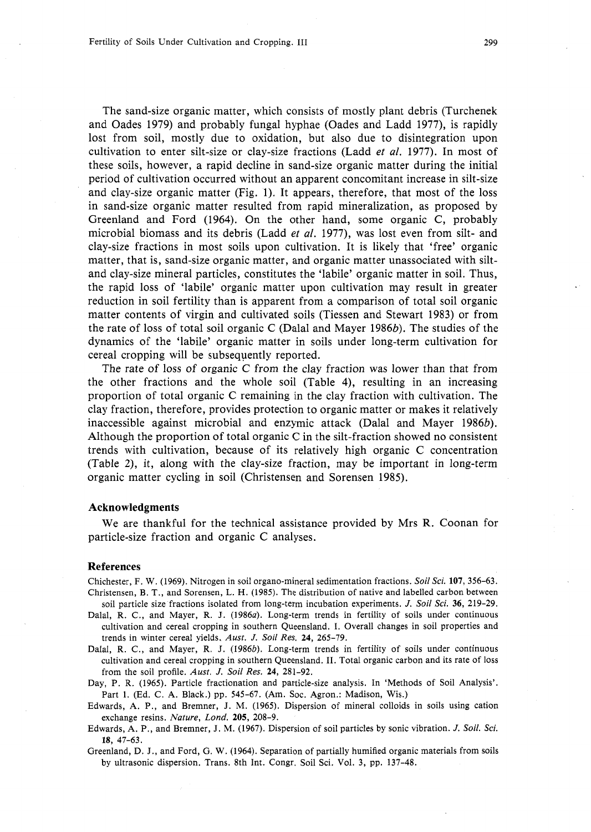The sand-size organic matter, which consists of mostly plant debris (Turchenek and Oades 1979) and probably fungal hyphae (Oades and Ladd 1977), is rapidly lost from soil, mostly due to oxidation, but also due to disintegration upon cultivation to enter silt-size or clay-size fractions (Ladd et *al.* 1977). In most of these soils, however, a rapid decline in sand-size organic matter during the initial period of cultivation occurred without an apparent concomitant increase in silt-size and clay-size organic matter (Fig. 1). It appears, therefore, that most of the loss in sand-size organic matter resulted from rapid mineralization, as proposed by Greenland and Ford (1964). On the other hand, some organic C, probably microbial biomass and its debris (Ladd *et al.* 1977), was lost even from silt- and clay-size fractions in most soils upon cultivation. It is likely that 'free' organic matter, that is, sand-size organic matter, and organic matter unassociated with siltand clay-size mineral particles, constitutes the 'labile' organic matter in soil. Thus, the rapid loss of 'labile' organic matter upon cultivation may result in greater reduction in soil fertility than is apparent from a comparison of total soil organic matter contents of virgin and cultivated soils (Tiessen and Stewart 1983) or from the rate of loss of total soil organic C (Dalal and Mayer 1986b). The studies of the dynamics of the 'labile' organic matter in soils under long-term cultivation for cereal cropping will be subsequently reported.

The rate of loss of organic C from the clay fraction was lower than that from the other fractions and the whole soil (Table 4), resulting in an increasing proportion of total organic C remaining in the clay fraction with cultivation. The clay fraction, therefore, provides protection to organic matter or makes it relatively inaccessible against microbial and enzymic attack (Dalal and Mayer 1986b). Although the proportion of total organic C in the silt-fraction showed no consistent trends with cultivation, because of its relatively high organic C concentration (Table 2), it, along with the clay-size fraction, may be important in long-term organic matter cycling in soil (Christensen and Sorensen 1985).

#### **Acknowledgments**

We are thankful for the technical assistance provided by Mrs R. Coonan for particle-size fraction and organic C analyses.

## **References**

Chichester, F. **W.** *(1969).* Nitrogen in soil organo-mineral sedimentation fractions. *Soil Sci.* **107,** *356-63.*  Christensen, B. T., and Sorensen, L. H. *(1985).* The distribution of native and labelled carbon between

- soil particle size fractions isolated from long-term incubation experiments. *J. Soil Sci. 36, 219-29.*  Dalal, *R.* C., and Mayer, R. J. *(1986a).* Long-term trends in fertility of soils under continuous cultivation and cereal cropping in southern Queensland. I. Overall changes in soil properties and trends in winter cereal yields. *Aust. J. Soil Res.* **24,** *265-79.*
- Dalal, R. C., and Mayer, R. J. *(1986b)*. Long-term trends in fertility of soils under continuous cultivation and cereal cropping in southern Queensland. **11.** Total organic carbon and its rate of loss from the soil profile. *Aust. J. Soil Res.* **24,** *281-92.*
- Day, P. R. *(1965).* Particle fractionation and particle-size analysis. In 'Methods of Soil Analysis'. Part *1.* (Ed. C. A. Black.) pp. *545-67.* (Am. Soc. Agron.: Madison, Wis.)
- Edwards, A. P., and Bremner, J. M. *(1965).* Dispersion of mineral colloids in soils using cation exchange resins. *Nature,* Lond. **205,** *208-9.*
- Edwards, A. P., and Bremner, J. M. *(1967).* Dispersion of soil particles by sonic vibration. *J. Soil. Sci. 18, 47-63.*
- Greenland, D. J., and Ford, G. W. *(1964).* Separation of partially humified organic materials from soils by ultrasonic dispersion. Trans. 8th Int. Congr. Soil Sci. Vol. *3,* pp. *137-48.*